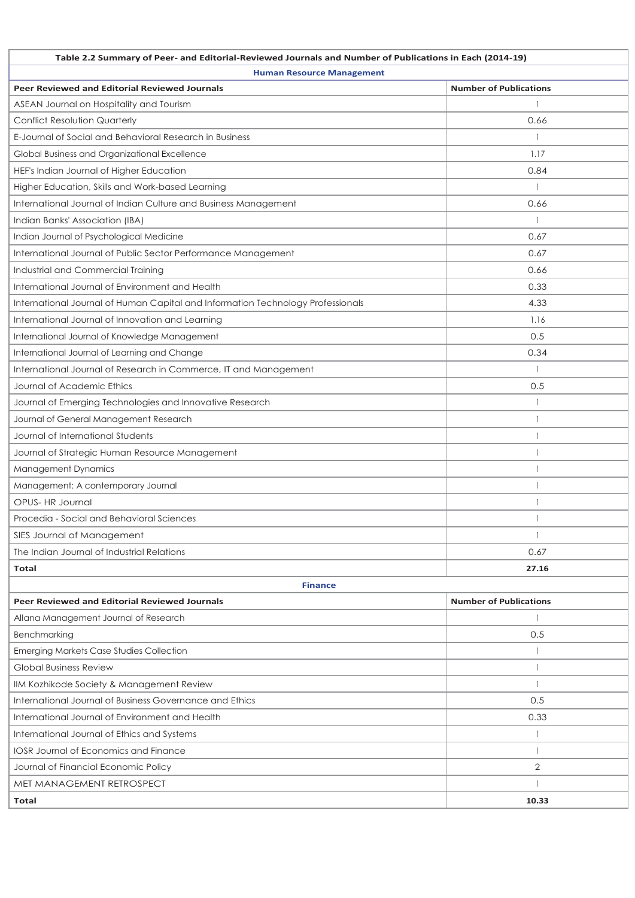| Table 2.2 Summary of Peer- and Editorial-Reviewed Journals and Number of Publications in Each (2014-19) |                               |  |
|---------------------------------------------------------------------------------------------------------|-------------------------------|--|
| <b>Human Resource Management</b>                                                                        |                               |  |
| <b>Peer Reviewed and Editorial Reviewed Journals</b>                                                    | <b>Number of Publications</b> |  |
| ASEAN Journal on Hospitality and Tourism                                                                |                               |  |
| <b>Conflict Resolution Quarterly</b>                                                                    | 0.66                          |  |
| E-Journal of Social and Behavioral Research in Business                                                 |                               |  |
| Global Business and Organizational Excellence                                                           | 1.17                          |  |
| HEF's Indian Journal of Higher Education                                                                | 0.84                          |  |
| Higher Education, Skills and Work-based Learning                                                        |                               |  |
| International Journal of Indian Culture and Business Management                                         | 0.66                          |  |
| Indian Banks' Association (IBA)                                                                         | $\overline{\phantom{a}}$      |  |
| Indian Journal of Psychological Medicine                                                                | 0.67                          |  |
| International Journal of Public Sector Performance Management                                           | 0.67                          |  |
| Industrial and Commercial Training                                                                      | 0.66                          |  |
| International Journal of Environment and Health                                                         | 0.33                          |  |
| International Journal of Human Capital and Information Technology Professionals                         | 4.33                          |  |
| International Journal of Innovation and Learning                                                        | 1.16                          |  |
| International Journal of Knowledge Management                                                           | 0.5                           |  |
| International Journal of Learning and Change                                                            | 0.34                          |  |
| International Journal of Research in Commerce, IT and Management                                        |                               |  |
| Journal of Academic Ethics                                                                              | 0.5                           |  |
| Journal of Emerging Technologies and Innovative Research                                                | 1                             |  |
| Journal of General Management Research                                                                  |                               |  |
| Journal of International Students                                                                       |                               |  |
| Journal of Strategic Human Resource Management                                                          |                               |  |
| Management Dynamics                                                                                     |                               |  |
| Management: A contemporary Journal                                                                      |                               |  |
| OPUS- HR Journal                                                                                        |                               |  |
| Procedia - Social and Behavioral Sciences                                                               |                               |  |
| SIES Journal of Management                                                                              |                               |  |
| The Indian Journal of Industrial Relations                                                              | 0.67                          |  |
| <b>Total</b>                                                                                            | 27.16                         |  |
| <b>Finance</b>                                                                                          |                               |  |
| <b>Peer Reviewed and Editorial Reviewed Journals</b>                                                    | <b>Number of Publications</b> |  |
| Allana Management Journal of Research                                                                   |                               |  |
| Benchmarking                                                                                            | 0.5                           |  |
| <b>Emerging Markets Case Studies Collection</b>                                                         |                               |  |
| Global Business Review                                                                                  | $\mathbf{1}$                  |  |
| IIM Kozhikode Society & Management Review                                                               | $\mathbf{1}$                  |  |
| International Journal of Business Governance and Ethics                                                 | 0.5                           |  |
| International Journal of Environment and Health                                                         | 0.33                          |  |
| International Journal of Ethics and Systems                                                             |                               |  |
| IOSR Journal of Economics and Finance                                                                   | $\mathbf{1}$                  |  |
| Journal of Financial Economic Policy                                                                    | 2                             |  |
| MET MANAGEMENT RETROSPECT                                                                               |                               |  |
| <b>Total</b>                                                                                            | 10.33                         |  |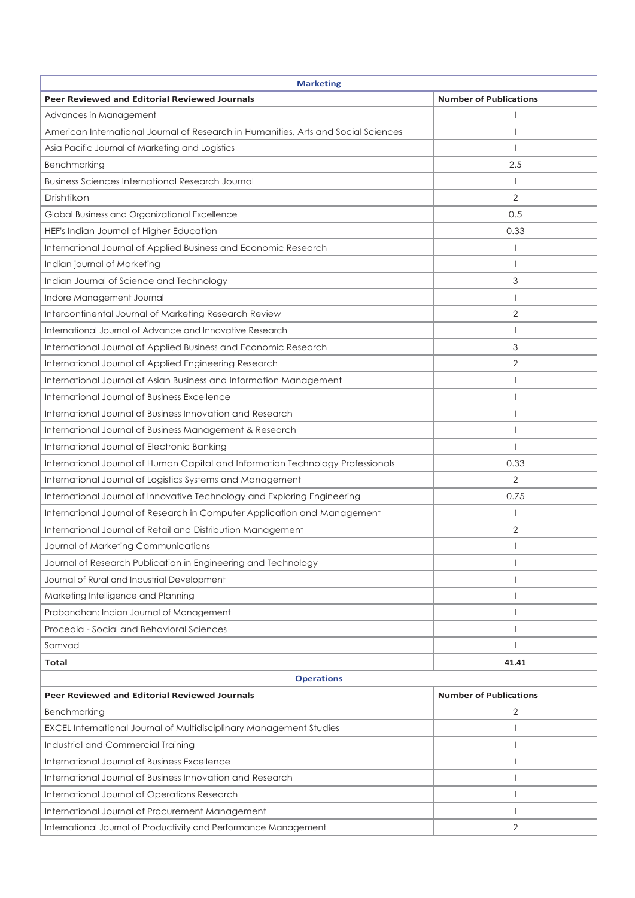| <b>Marketing</b>                                                                   |                               |  |
|------------------------------------------------------------------------------------|-------------------------------|--|
| Peer Reviewed and Editorial Reviewed Journals                                      | <b>Number of Publications</b> |  |
| Advances in Management                                                             |                               |  |
| American International Journal of Research in Humanities, Arts and Social Sciences | 1                             |  |
| Asia Pacific Journal of Marketing and Logistics                                    |                               |  |
| Benchmarking                                                                       | 2.5                           |  |
| Business Sciences International Research Journal                                   | $\mathbf{1}$                  |  |
| Drishtikon                                                                         | 2                             |  |
| Global Business and Organizational Excellence                                      | 0.5                           |  |
| HEF's Indian Journal of Higher Education                                           | 0.33                          |  |
| International Journal of Applied Business and Economic Research                    | 1                             |  |
| Indian journal of Marketing                                                        |                               |  |
| Indian Journal of Science and Technology                                           | 3                             |  |
| Indore Management Journal                                                          | $\mathbf{1}$                  |  |
| Intercontinental Journal of Marketing Research Review                              | 2                             |  |
| International Journal of Advance and Innovative Research                           |                               |  |
| International Journal of Applied Business and Economic Research                    | 3                             |  |
| International Journal of Applied Engineering Research                              | 2                             |  |
| International Journal of Asian Business and Information Management                 | 1                             |  |
| International Journal of Business Excellence                                       | $\mathbf{1}$                  |  |
| International Journal of Business Innovation and Research                          | $\mathbf{1}$                  |  |
| International Journal of Business Management & Research                            |                               |  |
| International Journal of Electronic Banking                                        |                               |  |
| International Journal of Human Capital and Information Technology Professionals    | 0.33                          |  |
| International Journal of Logistics Systems and Management                          | 2                             |  |
| International Journal of Innovative Technology and Exploring Engineering           | 0.75                          |  |
| International Journal of Research in Computer Application and Management           | $\mathbf{1}$                  |  |
| International Journal of Retail and Distribution Management                        | 2                             |  |
| Journal of Marketing Communications                                                |                               |  |
| Journal of Research Publication in Engineering and Technology                      |                               |  |
| Journal of Rural and Industrial Development                                        | 1                             |  |
| Marketing Intelligence and Planning                                                | 1                             |  |
| Prabandhan: Indian Journal of Management                                           |                               |  |
| Procedia - Social and Behavioral Sciences                                          |                               |  |
| Samvad                                                                             |                               |  |
| <b>Total</b>                                                                       | 41.41                         |  |
| <b>Operations</b>                                                                  |                               |  |
| Peer Reviewed and Editorial Reviewed Journals                                      | <b>Number of Publications</b> |  |
| Benchmarking                                                                       | 2                             |  |
| EXCEL International Journal of Multidisciplinary Management Studies                |                               |  |
| Industrial and Commercial Training                                                 | 1                             |  |
| International Journal of Business Excellence                                       | 1                             |  |
| International Journal of Business Innovation and Research                          | 1                             |  |
| International Journal of Operations Research                                       |                               |  |
| International Journal of Procurement Management                                    |                               |  |
| International Journal of Productivity and Performance Management                   | 2                             |  |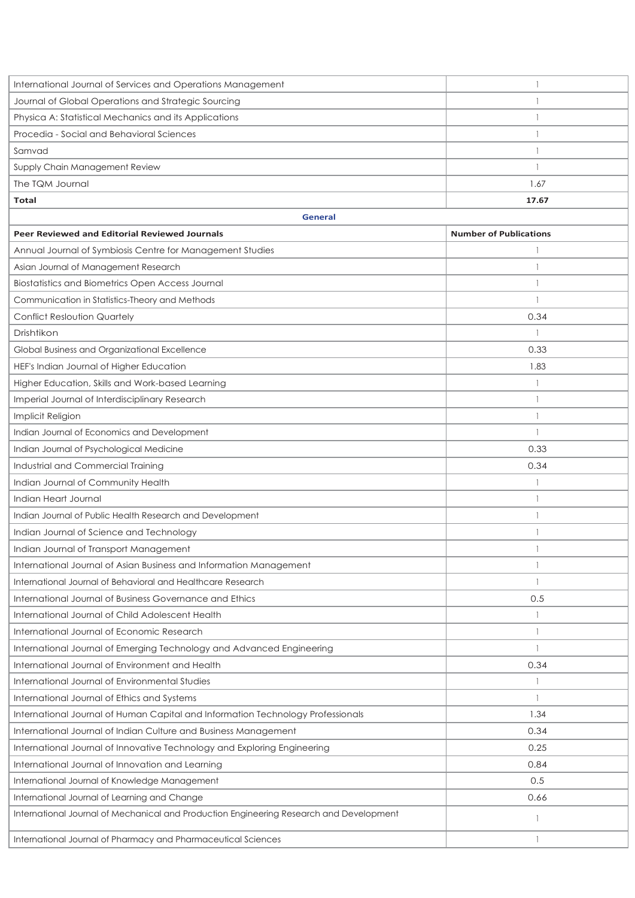| International Journal of Services and Operations Management                             |                               |
|-----------------------------------------------------------------------------------------|-------------------------------|
| Journal of Global Operations and Strategic Sourcing                                     | 1                             |
| Physica A: Statistical Mechanics and its Applications                                   | $\mathbf{1}$                  |
| Procedia - Social and Behavioral Sciences                                               | 1                             |
| Samvad                                                                                  | $\mathbf{1}$                  |
| Supply Chain Management Review                                                          | $\mathbf{1}$                  |
| The TQM Journal                                                                         | 1.67                          |
| Total                                                                                   | 17.67                         |
| <b>General</b>                                                                          |                               |
| <b>Peer Reviewed and Editorial Reviewed Journals</b>                                    | <b>Number of Publications</b> |
| Annual Journal of Symbiosis Centre for Management Studies                               |                               |
| Asian Journal of Management Research                                                    |                               |
| Biostatistics and Biometrics Open Access Journal                                        | 1                             |
| Communication in Statistics-Theory and Methods                                          | 1                             |
| <b>Conflict Resloution Quartely</b>                                                     | 0.34                          |
| Drishtikon                                                                              | $\mathbf{1}$                  |
| Global Business and Organizational Excellence                                           | 0.33                          |
| HEF's Indian Journal of Higher Education                                                | 1.83                          |
| Higher Education, Skills and Work-based Learning                                        | $\mathbf{1}$                  |
| Imperial Journal of Interdisciplinary Research                                          | $\mathbf{1}$                  |
| Implicit Religion                                                                       | $\mathbf{1}$                  |
| Indian Journal of Economics and Development                                             | 1                             |
| Indian Journal of Psychological Medicine                                                | 0.33                          |
| Industrial and Commercial Training                                                      | 0.34                          |
| Indian Journal of Community Health                                                      | 1                             |
| Indian Heart Journal                                                                    | 1                             |
| Indian Journal of Public Health Research and Development                                | $\mathbf{1}$                  |
| Indian Journal of Science and Technology                                                |                               |
| Indian Journal of Transport Management                                                  |                               |
| International Journal of Asian Business and Information Management                      | 1                             |
| International Journal of Behavioral and Healthcare Research                             | 1                             |
| International Journal of Business Governance and Ethics                                 | 0.5                           |
| International Journal of Child Adolescent Health                                        | $\mathbf{1}$                  |
| International Journal of Economic Research                                              | $\mathbf{1}$                  |
| International Journal of Emerging Technology and Advanced Engineering                   | $\overline{1}$                |
| International Journal of Environment and Health                                         | 0.34                          |
| International Journal of Environmental Studies                                          | $\mathbf{1}$                  |
| International Journal of Ethics and Systems                                             | $\mathbf{1}$                  |
| International Journal of Human Capital and Information Technology Professionals         | 1.34                          |
| International Journal of Indian Culture and Business Management                         | 0.34                          |
| International Journal of Innovative Technology and Exploring Engineering                | 0.25                          |
| International Journal of Innovation and Learning                                        | 0.84                          |
| International Journal of Knowledge Management                                           | 0.5                           |
| International Journal of Learning and Change                                            | 0.66                          |
| International Journal of Mechanical and Production Engineering Research and Development | 1                             |
| International Journal of Pharmacy and Pharmaceutical Sciences                           | $\mathbf{1}$                  |